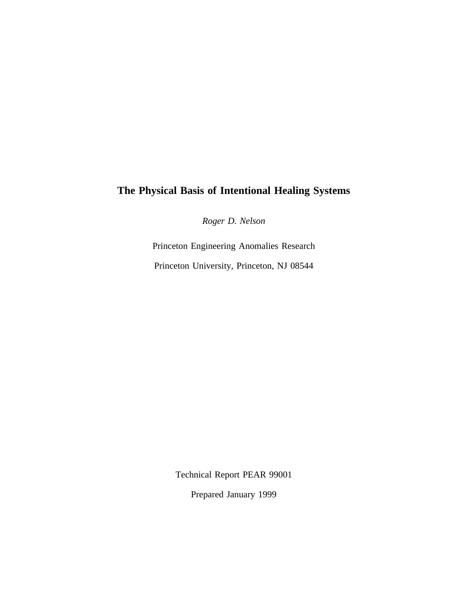# **The Physical Basis of Intentional Healing Systems**

*Roger D. Nelson*

Princeton Engineering Anomalies Research Princeton University, Princeton, NJ 08544

Technical Report PEAR 99001

Prepared January 1999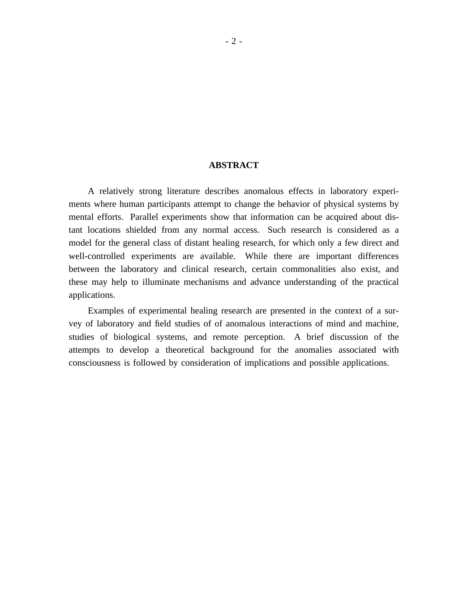### **ABSTRACT**

A relatively strong literature describes anomalous effects in laboratory experiments where human participants attempt to change the behavior of physical systems by mental efforts. Parallel experiments show that information can be acquired about distant locations shielded from any normal access. Such research is considered as a model for the general class of distant healing research, for which only a few direct and well-controlled experiments are available. While there are important differences between the laboratory and clinical research, certain commonalities also exist, and these may help to illuminate mechanisms and advance understanding of the practical applications.

Examples of experimental healing research are presented in the context of a survey of laboratory and field studies of of anomalous interactions of mind and machine, studies of biological systems, and remote perception. A brief discussion of the attempts to develop a theoretical background for the anomalies associated with consciousness is followed by consideration of implications and possible applications.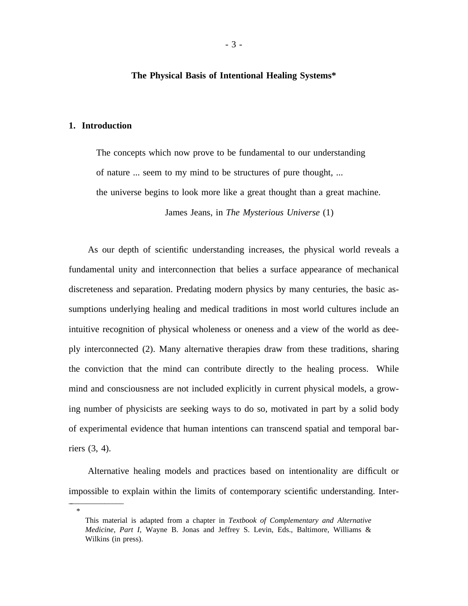#### **The Physical Basis of Intentional Healing Systems\***

#### **1. Introduction**

\_ \_\_\_\_\_\_\_\_\_\_\_\_\_\_

\*

The concepts which now prove to be fundamental to our understanding of nature ... seem to my mind to be structures of pure thought, ... the universe begins to look more like a great thought than a great machine. James Jeans, in *The Mysterious Universe* (1)

As our depth of scientific understanding increases, the physical world reveals a fundamental unity and interconnection that belies a surface appearance of mechanical discreteness and separation. Predating modern physics by many centuries, the basic assumptions underlying healing and medical traditions in most world cultures include an intuitive recognition of physical wholeness or oneness and a view of the world as deeply interconnected (2). Many alternative therapies draw from these traditions, sharing the conviction that the mind can contribute directly to the healing process. While mind and consciousness are not included explicitly in current physical models, a growing number of physicists are seeking ways to do so, motivated in part by a solid body of experimental evidence that human intentions can transcend spatial and temporal barriers (3, 4).

Alternative healing models and practices based on intentionality are difficult or impossible to explain within the limits of contemporary scientific understanding. Inter-

This material is adapted from a chapter in *Textbook of Complementary and Alternative Medicine, Part I,* Wayne B. Jonas and Jeffrey S. Levin, Eds., Baltimore, Williams & Wilkins (in press).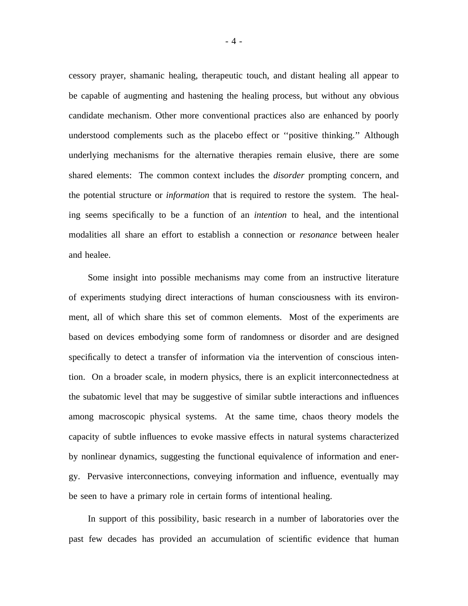cessory prayer, shamanic healing, therapeutic touch, and distant healing all appear to be capable of augmenting and hastening the healing process, but without any obvious candidate mechanism. Other more conventional practices also are enhanced by poorly understood complements such as the placebo effect or "positive thinking." Although underlying mechanisms for the alternative therapies remain elusive, there are some shared elements: The common context includes the *disorder* prompting concern, and the potential structure or *information* that is required to restore the system. The healing seems specifically to be a function of an *intention* to heal, and the intentional modalities all share an effort to establish a connection or *resonance* between healer and healee.

Some insight into possible mechanisms may come from an instructive literature of experiments studying direct interactions of human consciousness with its environment, all of which share this set of common elements. Most of the experiments are based on devices embodying some form of randomness or disorder and are designed specifically to detect a transfer of information via the intervention of conscious intention. On a broader scale, in modern physics, there is an explicit interconnectedness at the subatomic level that may be suggestive of similar subtle interactions and influences among macroscopic physical systems. At the same time, chaos theory models the capacity of subtle influences to evoke massive effects in natural systems characterized by nonlinear dynamics, suggesting the functional equivalence of information and energy. Pervasive interconnections, conveying information and influence, eventually may be seen to have a primary role in certain forms of intentional healing.

In support of this possibility, basic research in a number of laboratories over the past few decades has provided an accumulation of scientific evidence that human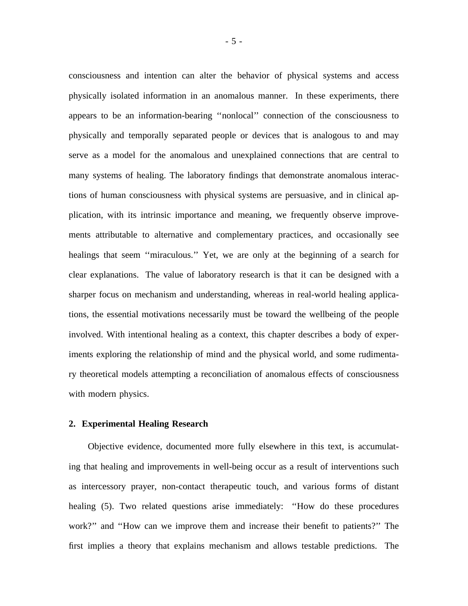consciousness and intention can alter the behavior of physical systems and access physically isolated information in an anomalous manner. In these experiments, there appears to be an information-bearing "nonlocal" connection of the consciousness to physically and temporally separated people or devices that is analogous to and may serve as a model for the anomalous and unexplained connections that are central to many systems of healing. The laboratory findings that demonstrate anomalous interactions of human consciousness with physical systems are persuasive, and in clinical application, with its intrinsic importance and meaning, we frequently observe improvements attributable to alternative and complementary practices, and occasionally see healings that seem "miraculous." Yet, we are only at the beginning of a search for clear explanations. The value of laboratory research is that it can be designed with a sharper focus on mechanism and understanding, whereas in real-world healing applications, the essential motivations necessarily must be toward the wellbeing of the people involved. With intentional healing as a context, this chapter describes a body of experiments exploring the relationship of mind and the physical world, and some rudimentary theoretical models attempting a reconciliation of anomalous effects of consciousness with modern physics.

#### **2. Experimental Healing Research**

Objective evidence, documented more fully elsewhere in this text, is accumulating that healing and improvements in well-being occur as a result of interventions such as intercessory prayer, non-contact therapeutic touch, and various forms of distant healing (5). Two related questions arise immediately: "How do these procedures work?" and "How can we improve them and increase their benefit to patients?" The first implies a theory that explains mechanism and allows testable predictions. The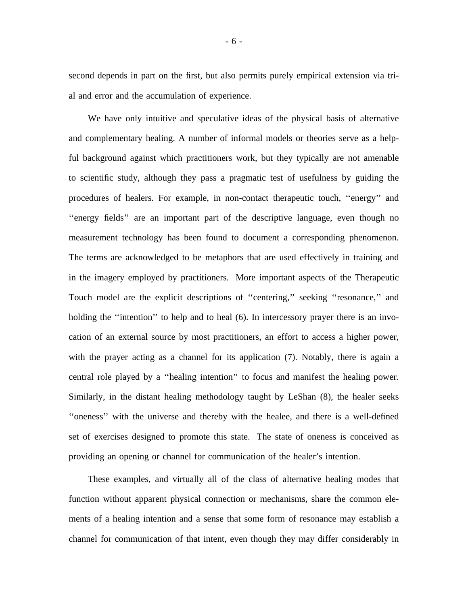second depends in part on the first, but also permits purely empirical extension via trial and error and the accumulation of experience.

We have only intuitive and speculative ideas of the physical basis of alternative and complementary healing. A number of informal models or theories serve as a helpful background against which practitioners work, but they typically are not amenable to scientific study, although they pass a pragmatic test of usefulness by guiding the procedures of healers. For example, in non-contact therapeutic touch, "energy" and ' 'energy fields' ' are an important part of the descriptive language, even though no measurement technology has been found to document a corresponding phenomenon. The terms are acknowledged to be metaphors that are used effectively in training and in the imagery employed by practitioners. More important aspects of the Therapeutic Touch model are the explicit descriptions of "centering," seeking "resonance," and holding the "intention" to help and to heal (6). In intercessory prayer there is an invocation of an external source by most practitioners, an effort to access a higher power, with the prayer acting as a channel for its application (7). Notably, there is again a central role played by a "healing intention" to focus and manifest the healing power. Similarly, in the distant healing methodology taught by LeShan (8), the healer seeks ' 'oneness' ' with the universe and thereby with the healee, and there is a well-defined set of exercises designed to promote this state. The state of oneness is conceived as providing an opening or channel for communication of the healer's intention.

These examples, and virtually all of the class of alternative healing modes that function without apparent physical connection or mechanisms, share the common elements of a healing intention and a sense that some form of resonance may establish a channel for communication of that intent, even though they may differ considerably in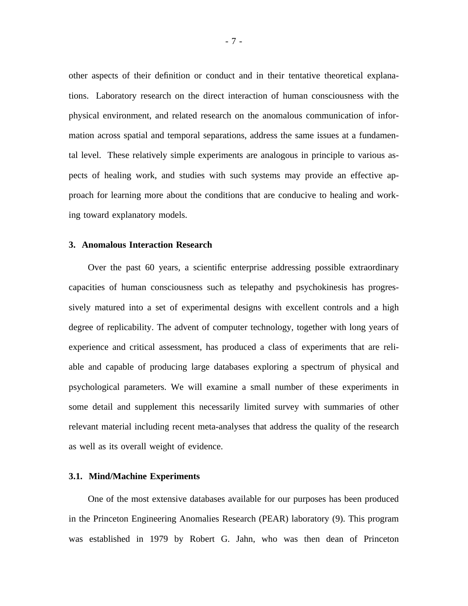other aspects of their definition or conduct and in their tentative theoretical explanations. Laboratory research on the direct interaction of human consciousness with the physical environment, and related research on the anomalous communication of information across spatial and temporal separations, address the same issues at a fundamental level. These relatively simple experiments are analogous in principle to various aspects of healing work, and studies with such systems may provide an effective approach for learning more about the conditions that are conducive to healing and working toward explanatory models.

#### **3. Anomalous Interaction Research**

Over the past 60 years, a scientific enterprise addressing possible extraordinary capacities of human consciousness such as telepathy and psychokinesis has progressively matured into a set of experimental designs with excellent controls and a high degree of replicability. The advent of computer technology, together with long years of experience and critical assessment, has produced a class of experiments that are reliable and capable of producing large databases exploring a spectrum of physical and psychological parameters. We will examine a small number of these experiments in some detail and supplement this necessarily limited survey with summaries of other relevant material including recent meta-analyses that address the quality of the research as well as its overall weight of evidence.

#### **3.1. Mind/Machine Experiments**

One of the most extensive databases available for our purposes has been produced in the Princeton Engineering Anomalies Research (PEAR) laboratory (9). This program was established in 1979 by Robert G. Jahn, who was then dean of Princeton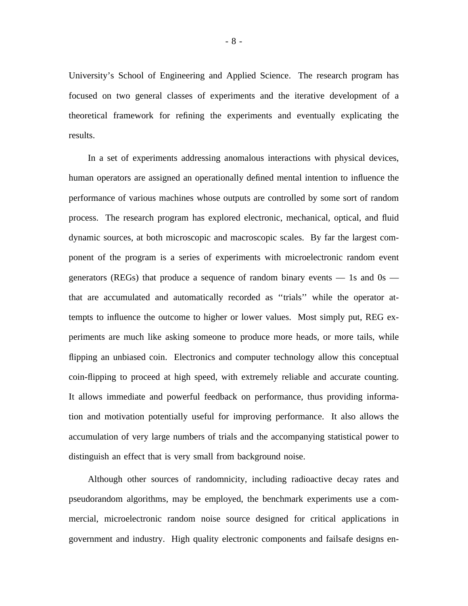University's School of Engineering and Applied Science. The research program has focused on two general classes of experiments and the iterative development of a theoretical framework for refining the experiments and eventually explicating the results.

In a set of experiments addressing anomalous interactions with physical devices, human operators are assigned an operationally defined mental intention to influence the performance of various machines whose outputs are controlled by some sort of random process. The research program has explored electronic, mechanical, optical, and fluid dynamic sources, at both microscopic and macroscopic scales. By far the largest component of the program is a series of experiments with microelectronic random event generators (REGs) that produce a sequence of random binary events  $-$  1s and 0s  $$ that are accumulated and automatically recorded as ' 'trials' ' while the operator attempts to influence the outcome to higher or lower values. Most simply put, REG experiments are much like asking someone to produce more heads, or more tails, while flipping an unbiased coin. Electronics and computer technology allow this conceptual coin-flipping to proceed at high speed, with extremely reliable and accurate counting. It allows immediate and powerful feedback on performance, thus providing information and motivation potentially useful for improving performance. It also allows the accumulation of very large numbers of trials and the accompanying statistical power to distinguish an effect that is very small from background noise.

Although other sources of randomnicity, including radioactive decay rates and pseudorandom algorithms, may be employed, the benchmark experiments use a commercial, microelectronic random noise source designed for critical applications in government and industry. High quality electronic components and failsafe designs en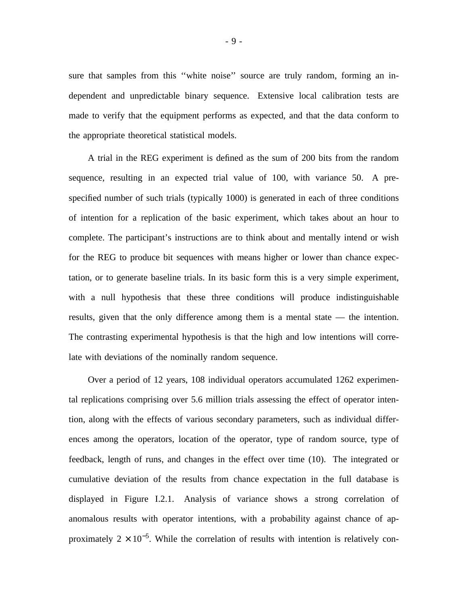sure that samples from this "white noise" source are truly random, forming an independent and unpredictable binary sequence. Extensive local calibration tests are made to verify that the equipment performs as expected, and that the data conform to the appropriate theoretical statistical models.

A trial in the REG experiment is defined as the sum of 200 bits from the random sequence, resulting in an expected trial value of 100, with variance 50. A prespecified number of such trials (typically 1000) is generated in each of three conditions of intention for a replication of the basic experiment, which takes about an hour to complete. The participant's instructions are to think about and mentally intend or wish for the REG to produce bit sequences with means higher or lower than chance expectation, or to generate baseline trials. In its basic form this is a very simple experiment, with a null hypothesis that these three conditions will produce indistinguishable results, given that the only difference among them is a mental state — the intention. The contrasting experimental hypothesis is that the high and low intentions will correlate with deviations of the nominally random sequence.

Over a period of 12 years, 108 individual operators accumulated 1262 experimental replications comprising over 5.6 million trials assessing the effect of operator intention, along with the effects of various secondary parameters, such as individual differences among the operators, location of the operator, type of random source, type of feedback, length of runs, and changes in the effect over time (10). The integrated or cumulative deviation of the results from chance expectation in the full database is displayed in Figure I.2.1. Analysis of variance shows a strong correlation of anomalous results with operator intentions, with a probability against chance of approximately  $2 \times 10^{-5}$ . While the correlation of results with intention is relatively con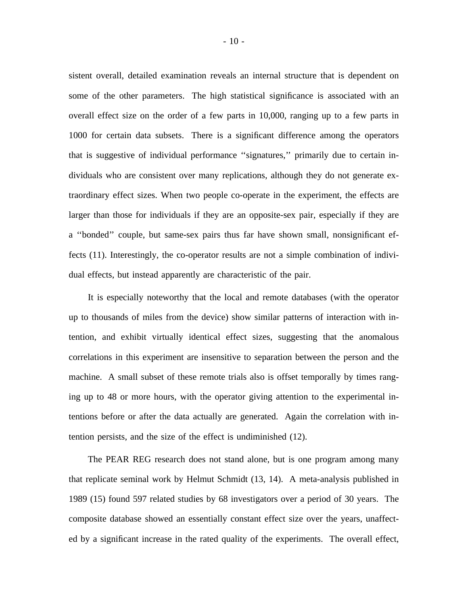sistent overall, detailed examination reveals an internal structure that is dependent on some of the other parameters. The high statistical significance is associated with an overall effect size on the order of a few parts in 10,000, ranging up to a few parts in 1000 for certain data subsets. There is a significant difference among the operators that is suggestive of individual performance "signatures," primarily due to certain individuals who are consistent over many replications, although they do not generate extraordinary effect sizes. When two people co-operate in the experiment, the effects are larger than those for individuals if they are an opposite-sex pair, especially if they are a "bonded" couple, but same-sex pairs thus far have shown small, nonsignificant effects (11). Interestingly, the co-operator results are not a simple combination of individual effects, but instead apparently are characteristic of the pair.

It is especially noteworthy that the local and remote databases (with the operator up to thousands of miles from the device) show similar patterns of interaction with intention, and exhibit virtually identical effect sizes, suggesting that the anomalous correlations in this experiment are insensitive to separation between the person and the machine. A small subset of these remote trials also is offset temporally by times ranging up to 48 or more hours, with the operator giving attention to the experimental intentions before or after the data actually are generated. Again the correlation with intention persists, and the size of the effect is undiminished (12).

The PEAR REG research does not stand alone, but is one program among many that replicate seminal work by Helmut Schmidt (13, 14). A meta-analysis published in 1989 (15) found 597 related studies by 68 investigators over a period of 30 years. The composite database showed an essentially constant effect size over the years, unaffected by a significant increase in the rated quality of the experiments. The overall effect,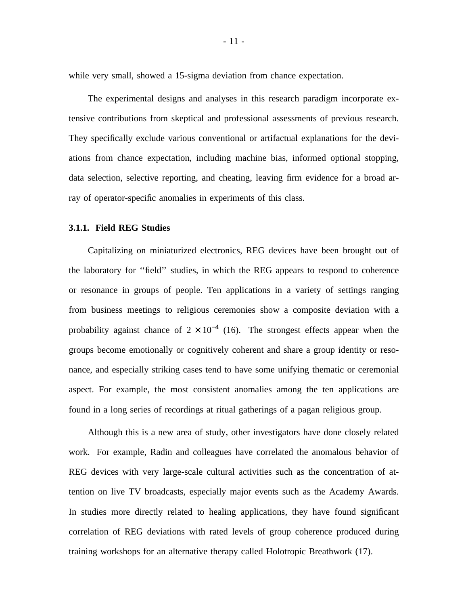while very small, showed a 15-sigma deviation from chance expectation.

The experimental designs and analyses in this research paradigm incorporate extensive contributions from skeptical and professional assessments of previous research. They specifically exclude various conventional or artifactual explanations for the deviations from chance expectation, including machine bias, informed optional stopping, data selection, selective reporting, and cheating, leaving firm evidence for a broad array of operator-specific anomalies in experiments of this class.

#### **3.1.1. Field REG Studies**

Capitalizing on miniaturized electronics, REG devices have been brought out of the laboratory for "field" studies, in which the REG appears to respond to coherence or resonance in groups of people. Ten applications in a variety of settings ranging from business meetings to religious ceremonies show a composite deviation with a probability against chance of  $2 \times 10^{-4}$  (16). The strongest effects appear when the groups become emotionally or cognitively coherent and share a group identity or resonance, and especially striking cases tend to have some unifying thematic or ceremonial aspect. For example, the most consistent anomalies among the ten applications are found in a long series of recordings at ritual gatherings of a pagan religious group.

Although this is a new area of study, other investigators have done closely related work. For example, Radin and colleagues have correlated the anomalous behavior of REG devices with very large-scale cultural activities such as the concentration of attention on live TV broadcasts, especially major events such as the Academy Awards. In studies more directly related to healing applications, they have found significant correlation of REG deviations with rated levels of group coherence produced during training workshops for an alternative therapy called Holotropic Breathwork (17).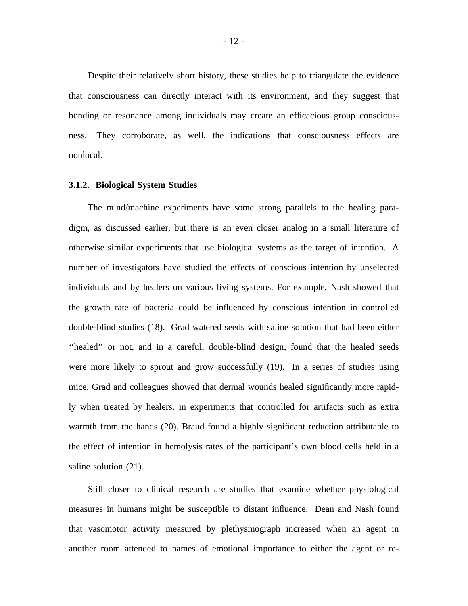Despite their relatively short history, these studies help to triangulate the evidence that consciousness can directly interact with its environment, and they suggest that bonding or resonance among individuals may create an efficacious group consciousness. They corroborate, as well, the indications that consciousness effects are nonlocal.

#### **3.1.2. Biological System Studies**

The mind/machine experiments have some strong parallels to the healing paradigm, as discussed earlier, but there is an even closer analog in a small literature of otherwise similar experiments that use biological systems as the target of intention. A number of investigators have studied the effects of conscious intention by unselected individuals and by healers on various living systems. For example, Nash showed that the growth rate of bacteria could be influenced by conscious intention in controlled double-blind studies (18). Grad watered seeds with saline solution that had been either "healed" or not, and in a careful, double-blind design, found that the healed seeds were more likely to sprout and grow successfully (19). In a series of studies using mice, Grad and colleagues showed that dermal wounds healed significantly more rapidly when treated by healers, in experiments that controlled for artifacts such as extra warmth from the hands (20). Braud found a highly significant reduction attributable to the effect of intention in hemolysis rates of the participant's own blood cells held in a saline solution (21).

Still closer to clinical research are studies that examine whether physiological measures in humans might be susceptible to distant influence. Dean and Nash found that vasomotor activity measured by plethysmograph increased when an agent in another room attended to names of emotional importance to either the agent or re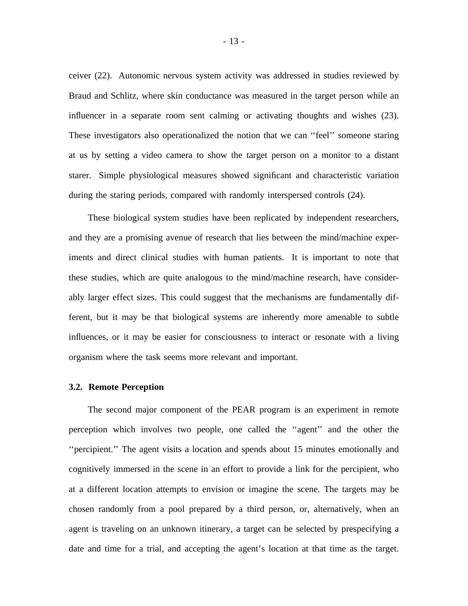ceiver (22). Autonomic nervous system activity was addressed in studies reviewed by Braud and Schlitz, where skin conductance was measured in the target person while an influencer in a separate room sent calming or activating thoughts and wishes (23). These investigators also operationalized the notion that we can ' 'feel' ' someone staring at us by setting a video camera to show the target person on a monitor to a distant starer. Simple physiological measures showed significant and characteristic variation during the staring periods, compared with randomly interspersed controls (24).

These biological system studies have been replicated by independent researchers, and they are a promising avenue of research that lies between the mind/machine experiments and direct clinical studies with human patients. It is important to note that these studies, which are quite analogous to the mind/machine research, have considerably larger effect sizes. This could suggest that the mechanisms are fundamentally different, but it may be that biological systems are inherently more amenable to subtle influences, or it may be easier for consciousness to interact or resonate with a living organism where the task seems more relevant and important.

#### **3.2. Remote Perception**

The second major component of the PEAR program is an experiment in remote perception which involves two people, one called the "agent" and the other the ' 'percipient.' ' The agent visits a location and spends about 15 minutes emotionally and cognitively immersed in the scene in an effort to provide a link for the percipient, who at a different location attempts to envision or imagine the scene. The targets may be chosen randomly from a pool prepared by a third person, or, alternatively, when an agent is traveling on an unknown itinerary, a target can be selected by prespecifying a date and time for a trial, and accepting the agent's location at that time as the target.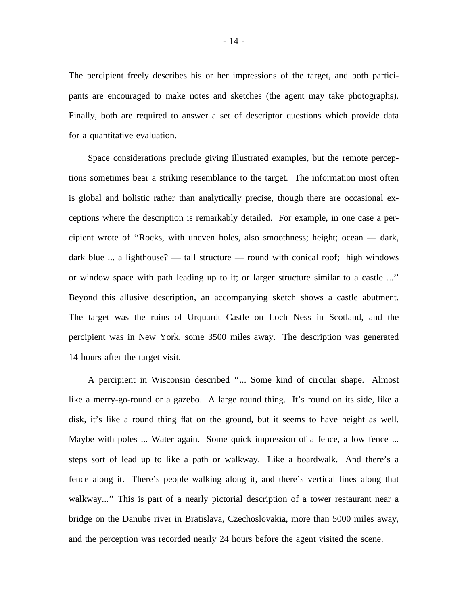The percipient freely describes his or her impressions of the target, and both participants are encouraged to make notes and sketches (the agent may take photographs). Finally, both are required to answer a set of descriptor questions which provide data for a quantitative evaluation.

Space considerations preclude giving illustrated examples, but the remote perceptions sometimes bear a striking resemblance to the target. The information most often is global and holistic rather than analytically precise, though there are occasional exceptions where the description is remarkably detailed. For example, in one case a percipient wrote of "Rocks, with uneven holes, also smoothness; height; ocean — dark, dark blue ... a lighthouse? — tall structure — round with conical roof; high windows or window space with path leading up to it; or larger structure similar to a castle ...' ' Beyond this allusive description, an accompanying sketch shows a castle abutment. The target was the ruins of Urquardt Castle on Loch Ness in Scotland, and the percipient was in New York, some 3500 miles away. The description was generated 14 hours after the target visit.

A percipient in Wisconsin described "... Some kind of circular shape. Almost like a merry-go-round or a gazebo. A large round thing. It's round on its side, like a disk, it's like a round thing flat on the ground, but it seems to have height as well. Maybe with poles ... Water again. Some quick impression of a fence, a low fence ... steps sort of lead up to like a path or walkway. Like a boardwalk. And there's a fence along it. There's people walking along it, and there's vertical lines along that walkway..." This is part of a nearly pictorial description of a tower restaurant near a bridge on the Danube river in Bratislava, Czechoslovakia, more than 5000 miles away, and the perception was recorded nearly 24 hours before the agent visited the scene.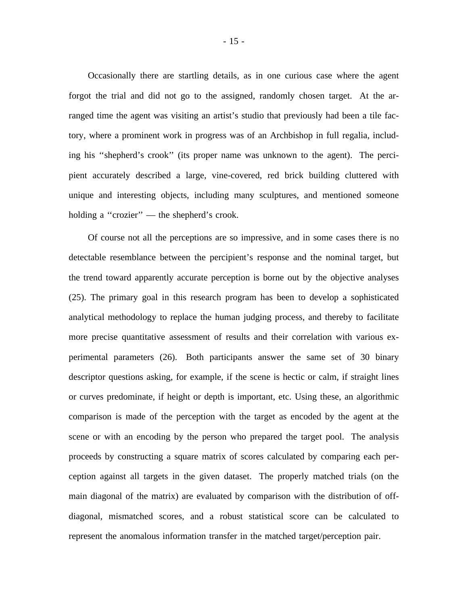Occasionally there are startling details, as in one curious case where the agent forgot the trial and did not go to the assigned, randomly chosen target. At the arranged time the agent was visiting an artist's studio that previously had been a tile factory, where a prominent work in progress was of an Archbishop in full regalia, including his "shepherd's crook" (its proper name was unknown to the agent). The percipient accurately described a large, vine-covered, red brick building cluttered with unique and interesting objects, including many sculptures, and mentioned someone holding a "crozier"  $-$  the shepherd's crook.

Of course not all the perceptions are so impressive, and in some cases there is no detectable resemblance between the percipient's response and the nominal target, but the trend toward apparently accurate perception is borne out by the objective analyses (25). The primary goal in this research program has been to develop a sophisticated analytical methodology to replace the human judging process, and thereby to facilitate more precise quantitative assessment of results and their correlation with various experimental parameters (26). Both participants answer the same set of 30 binary descriptor questions asking, for example, if the scene is hectic or calm, if straight lines or curves predominate, if height or depth is important, etc. Using these, an algorithmic comparison is made of the perception with the target as encoded by the agent at the scene or with an encoding by the person who prepared the target pool. The analysis proceeds by constructing a square matrix of scores calculated by comparing each perception against all targets in the given dataset. The properly matched trials (on the main diagonal of the matrix) are evaluated by comparison with the distribution of offdiagonal, mismatched scores, and a robust statistical score can be calculated to represent the anomalous information transfer in the matched target/perception pair.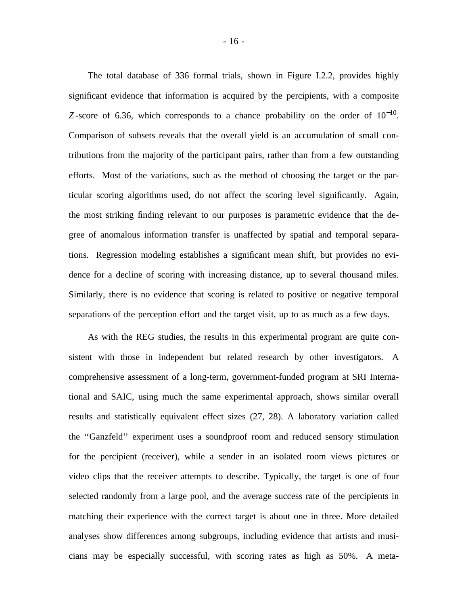The total database of 336 formal trials, shown in Figure I.2.2, provides highly significant evidence that information is acquired by the percipients, with a composite *Z*-score of 6.36, which corresponds to a chance probability on the order of  $10^{-10}$ . Comparison of subsets reveals that the overall yield is an accumulation of small contributions from the majority of the participant pairs, rather than from a few outstanding efforts. Most of the variations, such as the method of choosing the target or the particular scoring algorithms used, do not affect the scoring level significantly. Again, the most striking finding relevant to our purposes is parametric evidence that the degree of anomalous information transfer is unaffected by spatial and temporal separations. Regression modeling establishes a significant mean shift, but provides no evidence for a decline of scoring with increasing distance, up to several thousand miles. Similarly, there is no evidence that scoring is related to positive or negative temporal separations of the perception effort and the target visit, up to as much as a few days.

As with the REG studies, the results in this experimental program are quite consistent with those in independent but related research by other investigators. A comprehensive assessment of a long-term, government-funded program at SRI International and SAIC, using much the same experimental approach, shows similar overall results and statistically equivalent effect sizes (27, 28). A laboratory variation called the "Ganzfeld" experiment uses a soundproof room and reduced sensory stimulation for the percipient (receiver), while a sender in an isolated room views pictures or video clips that the receiver attempts to describe. Typically, the target is one of four selected randomly from a large pool, and the average success rate of the percipients in matching their experience with the correct target is about one in three. More detailed analyses show differences among subgroups, including evidence that artists and musicians may be especially successful, with scoring rates as high as 50%. A meta-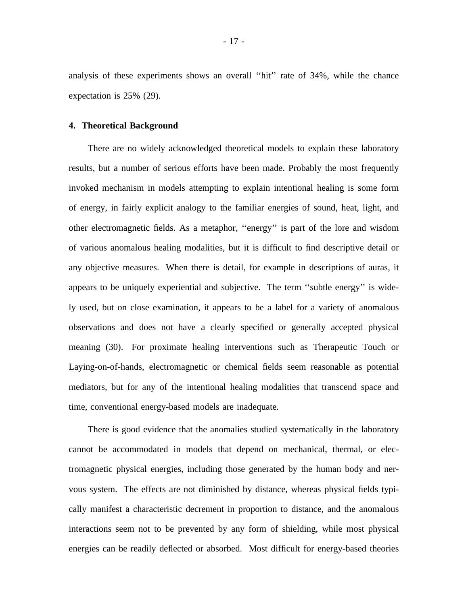analysis of these experiments shows an overall "hit" rate of 34%, while the chance expectation is 25% (29).

#### **4. Theoretical Background**

There are no widely acknowledged theoretical models to explain these laboratory results, but a number of serious efforts have been made. Probably the most frequently invoked mechanism in models attempting to explain intentional healing is some form of energy, in fairly explicit analogy to the familiar energies of sound, heat, light, and other electromagnetic fields. As a metaphor, "energy" is part of the lore and wisdom of various anomalous healing modalities, but it is difficult to find descriptive detail or any objective measures. When there is detail, for example in descriptions of auras, it appears to be uniquely experiential and subjective. The term "subtle energy" is widely used, but on close examination, it appears to be a label for a variety of anomalous observations and does not have a clearly specified or generally accepted physical meaning (30). For proximate healing interventions such as Therapeutic Touch or Laying-on-of-hands, electromagnetic or chemical fields seem reasonable as potential mediators, but for any of the intentional healing modalities that transcend space and time, conventional energy-based models are inadequate.

There is good evidence that the anomalies studied systematically in the laboratory cannot be accommodated in models that depend on mechanical, thermal, or electromagnetic physical energies, including those generated by the human body and nervous system. The effects are not diminished by distance, whereas physical fields typically manifest a characteristic decrement in proportion to distance, and the anomalous interactions seem not to be prevented by any form of shielding, while most physical energies can be readily deflected or absorbed. Most difficult for energy-based theories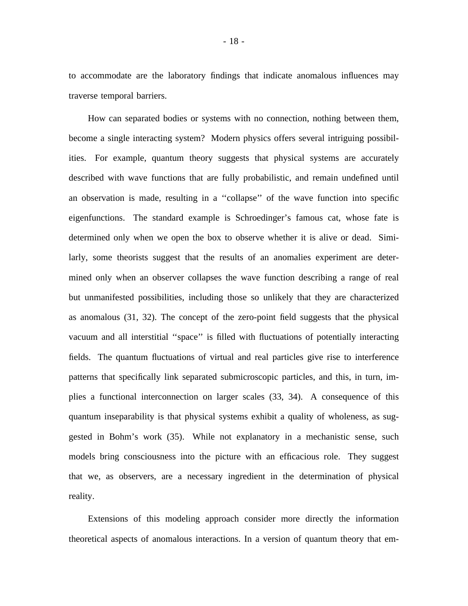to accommodate are the laboratory findings that indicate anomalous influences may traverse temporal barriers.

How can separated bodies or systems with no connection, nothing between them, become a single interacting system? Modern physics offers several intriguing possibilities. For example, quantum theory suggests that physical systems are accurately described with wave functions that are fully probabilistic, and remain undefined until an observation is made, resulting in a "collapse" of the wave function into specific eigenfunctions. The standard example is Schroedinger's famous cat, whose fate is determined only when we open the box to observe whether it is alive or dead. Similarly, some theorists suggest that the results of an anomalies experiment are determined only when an observer collapses the wave function describing a range of real but unmanifested possibilities, including those so unlikely that they are characterized as anomalous (31, 32). The concept of the zero-point field suggests that the physical vacuum and all interstitial "space" is filled with fluctuations of potentially interacting fields. The quantum fluctuations of virtual and real particles give rise to interference patterns that specifically link separated submicroscopic particles, and this, in turn, implies a functional interconnection on larger scales (33, 34). A consequence of this quantum inseparability is that physical systems exhibit a quality of wholeness, as suggested in Bohm's work (35). While not explanatory in a mechanistic sense, such models bring consciousness into the picture with an efficacious role. They suggest that we, as observers, are a necessary ingredient in the determination of physical reality.

Extensions of this modeling approach consider more directly the information theoretical aspects of anomalous interactions. In a version of quantum theory that em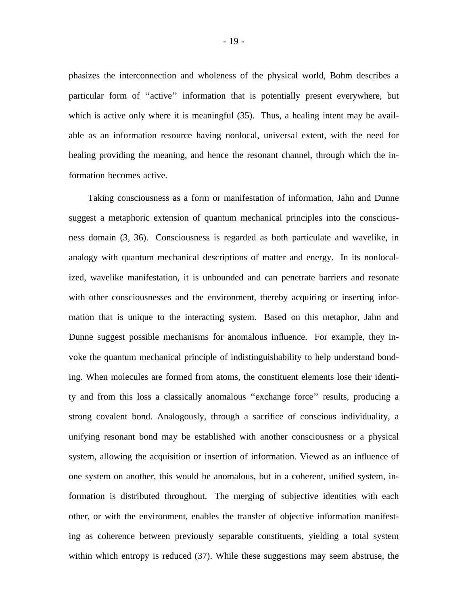phasizes the interconnection and wholeness of the physical world, Bohm describes a particular form of "active" information that is potentially present everywhere, but which is active only where it is meaningful (35). Thus, a healing intent may be available as an information resource having nonlocal, universal extent, with the need for healing providing the meaning, and hence the resonant channel, through which the information becomes active.

Taking consciousness as a form or manifestation of information, Jahn and Dunne suggest a metaphoric extension of quantum mechanical principles into the consciousness domain (3, 36). Consciousness is regarded as both particulate and wavelike, in analogy with quantum mechanical descriptions of matter and energy. In its nonlocalized, wavelike manifestation, it is unbounded and can penetrate barriers and resonate with other consciousnesses and the environment, thereby acquiring or inserting information that is unique to the interacting system. Based on this metaphor, Jahn and Dunne suggest possible mechanisms for anomalous influence. For example, they invoke the quantum mechanical principle of indistinguishability to help understand bonding. When molecules are formed from atoms, the constituent elements lose their identity and from this loss a classically anomalous ' 'exchange force' ' results, producing a strong covalent bond. Analogously, through a sacrifice of conscious individuality, a unifying resonant bond may be established with another consciousness or a physical system, allowing the acquisition or insertion of information. Viewed as an influence of one system on another, this would be anomalous, but in a coherent, unified system, information is distributed throughout. The merging of subjective identities with each other, or with the environment, enables the transfer of objective information manifesting as coherence between previously separable constituents, yielding a total system within which entropy is reduced (37). While these suggestions may seem abstruse, the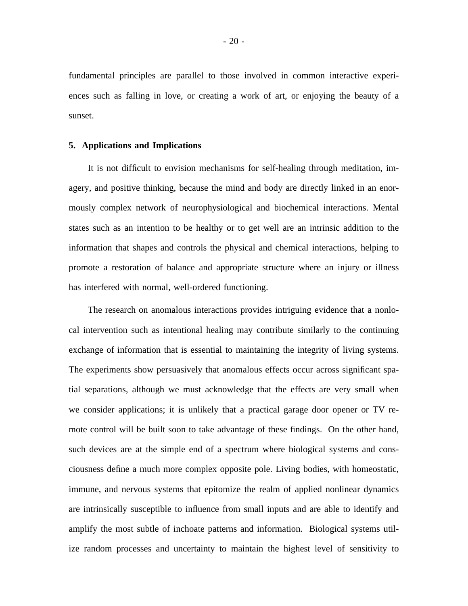fundamental principles are parallel to those involved in common interactive experiences such as falling in love, or creating a work of art, or enjoying the beauty of a sunset.

#### **5. Applications and Implications**

It is not difficult to envision mechanisms for self-healing through meditation, imagery, and positive thinking, because the mind and body are directly linked in an enormously complex network of neurophysiological and biochemical interactions. Mental states such as an intention to be healthy or to get well are an intrinsic addition to the information that shapes and controls the physical and chemical interactions, helping to promote a restoration of balance and appropriate structure where an injury or illness has interfered with normal, well-ordered functioning.

The research on anomalous interactions provides intriguing evidence that a nonlocal intervention such as intentional healing may contribute similarly to the continuing exchange of information that is essential to maintaining the integrity of living systems. The experiments show persuasively that anomalous effects occur across significant spatial separations, although we must acknowledge that the effects are very small when we consider applications; it is unlikely that a practical garage door opener or TV remote control will be built soon to take advantage of these findings. On the other hand, such devices are at the simple end of a spectrum where biological systems and consciousness define a much more complex opposite pole. Living bodies, with homeostatic, immune, and nervous systems that epitomize the realm of applied nonlinear dynamics are intrinsically susceptible to influence from small inputs and are able to identify and amplify the most subtle of inchoate patterns and information. Biological systems utilize random processes and uncertainty to maintain the highest level of sensitivity to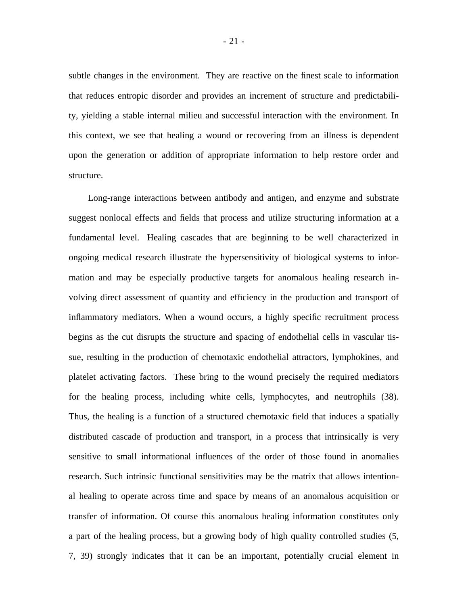subtle changes in the environment. They are reactive on the finest scale to information that reduces entropic disorder and provides an increment of structure and predictability, yielding a stable internal milieu and successful interaction with the environment. In this context, we see that healing a wound or recovering from an illness is dependent upon the generation or addition of appropriate information to help restore order and structure.

Long-range interactions between antibody and antigen, and enzyme and substrate suggest nonlocal effects and fields that process and utilize structuring information at a fundamental level. Healing cascades that are beginning to be well characterized in ongoing medical research illustrate the hypersensitivity of biological systems to information and may be especially productive targets for anomalous healing research involving direct assessment of quantity and efficiency in the production and transport of inflammatory mediators. When a wound occurs, a highly specific recruitment process begins as the cut disrupts the structure and spacing of endothelial cells in vascular tissue, resulting in the production of chemotaxic endothelial attractors, lymphokines, and platelet activating factors. These bring to the wound precisely the required mediators for the healing process, including white cells, lymphocytes, and neutrophils (38). Thus, the healing is a function of a structured chemotaxic field that induces a spatially distributed cascade of production and transport, in a process that intrinsically is very sensitive to small informational influences of the order of those found in anomalies research. Such intrinsic functional sensitivities may be the matrix that allows intentional healing to operate across time and space by means of an anomalous acquisition or transfer of information. Of course this anomalous healing information constitutes only a part of the healing process, but a growing body of high quality controlled studies (5, 7, 39) strongly indicates that it can be an important, potentially crucial element in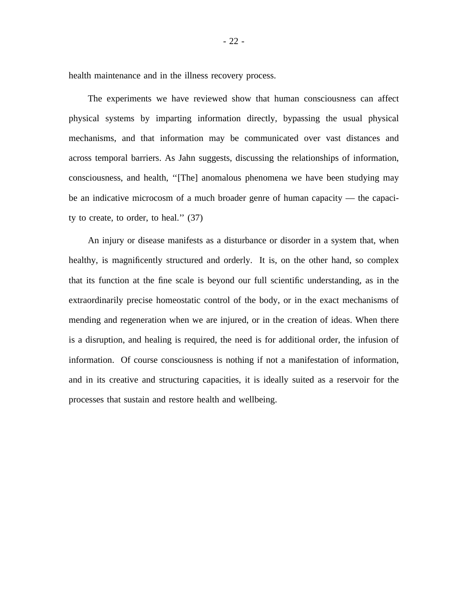health maintenance and in the illness recovery process.

The experiments we have reviewed show that human consciousness can affect physical systems by imparting information directly, bypassing the usual physical mechanisms, and that information may be communicated over vast distances and across temporal barriers. As Jahn suggests, discussing the relationships of information, consciousness, and health, "[The] anomalous phenomena we have been studying may be an indicative microcosm of a much broader genre of human capacity — the capacity to create, to order, to heal."  $(37)$ 

An injury or disease manifests as a disturbance or disorder in a system that, when healthy, is magnificently structured and orderly. It is, on the other hand, so complex that its function at the fine scale is beyond our full scientific understanding, as in the extraordinarily precise homeostatic control of the body, or in the exact mechanisms of mending and regeneration when we are injured, or in the creation of ideas. When there is a disruption, and healing is required, the need is for additional order, the infusion of information. Of course consciousness is nothing if not a manifestation of information, and in its creative and structuring capacities, it is ideally suited as a reservoir for the processes that sustain and restore health and wellbeing.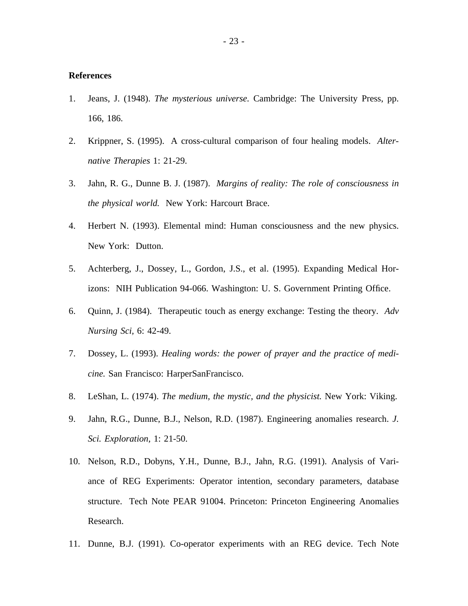## **References**

- 1. Jeans, J. (1948). *The mysterious universe.* Cambridge: The University Press, pp. 166, 186.
- 2. Krippner, S. (1995). A cross-cultural comparison of four healing models. *Alternative Therapies* 1: 21-29.
- 3. Jahn, R. G., Dunne B. J. (1987). *Margins of reality: The role of consciousness in the physical world.* New York: Harcourt Brace.
- 4. Herbert N. (1993). Elemental mind: Human consciousness and the new physics. New York: Dutton.
- 5. Achterberg, J., Dossey, L., Gordon, J.S., et al. (1995). Expanding Medical Horizons: NIH Publication 94-066. Washington: U. S. Government Printing Office.
- 6. Quinn, J. (1984). Therapeutic touch as energy exchange: Testing the theory. *Adv Nursing Sci,* 6: 42-49.
- 7. Dossey, L. (1993). *Healing words: the power of prayer and the practice of medicine.* San Francisco: HarperSanFrancisco.
- 8. LeShan, L. (1974). *The medium, the mystic, and the physicist.* New York: Viking.
- 9. Jahn, R.G., Dunne, B.J., Nelson, R.D. (1987). Engineering anomalies research. *J. Sci. Exploration,* 1: 21-50.
- 10. Nelson, R.D., Dobyns, Y.H., Dunne, B.J., Jahn, R.G. (1991). Analysis of Variance of REG Experiments: Operator intention, secondary parameters, database structure. Tech Note PEAR 91004. Princeton: Princeton Engineering Anomalies Research.
- 11. Dunne, B.J. (1991). Co-operator experiments with an REG device. Tech Note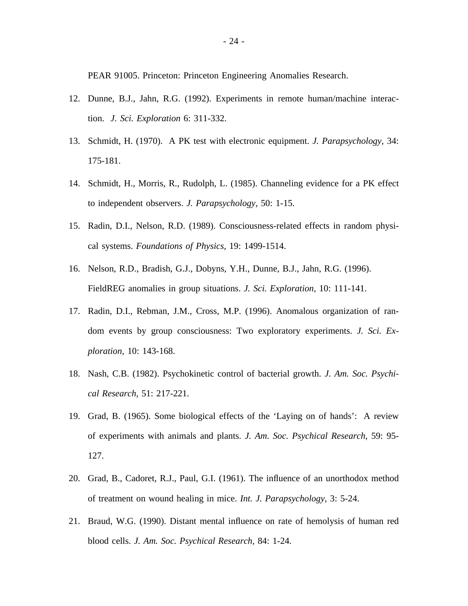PEAR 91005. Princeton: Princeton Engineering Anomalies Research.

- 12. Dunne, B.J., Jahn, R.G. (1992). Experiments in remote human/machine interaction. *J. Sci. Exploration* 6: 311-332.
- 13. Schmidt, H. (1970). A PK test with electronic equipment. *J. Parapsychology,* 34: 175-181.
- 14. Schmidt, H., Morris, R., Rudolph, L. (1985). Channeling evidence for a PK effect to independent observers. *J. Parapsychology,* 50: 1-15.
- 15. Radin, D.I., Nelson, R.D. (1989). Consciousness-related effects in random physical systems. *Foundations of Physics,* 19: 1499-1514.
- 16. Nelson, R.D., Bradish, G.J., Dobyns, Y.H., Dunne, B.J., Jahn, R.G. (1996). FieldREG anomalies in group situations. *J. Sci. Exploration,* 10: 111-141.
- 17. Radin, D.I., Rebman, J.M., Cross, M.P. (1996). Anomalous organization of random events by group consciousness: Two exploratory experiments. *J. Sci. Exploration,* 10: 143-168.
- 18. Nash, C.B. (1982). Psychokinetic control of bacterial growth. *J. Am. Soc. Psychical Research,* 51: 217-221.
- 19. Grad, B. (1965). Some biological effects of the 'Laying on of hands': A review of experiments with animals and plants. *J. Am. Soc. Psychical Research,* 59: 95- 127.
- 20. Grad, B., Cadoret, R.J., Paul, G.I. (1961). The influence of an unorthodox method of treatment on wound healing in mice. *Int. J. Parapsychology,* 3: 5-24.
- 21. Braud, W.G. (1990). Distant mental influence on rate of hemolysis of human red blood cells. *J. Am. Soc. Psychical Research,* 84: 1-24.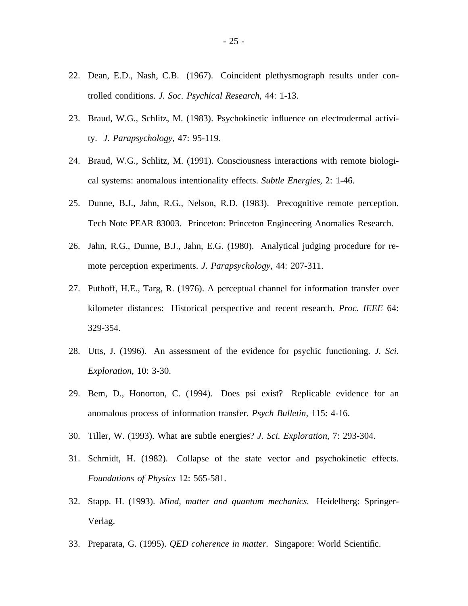- 22. Dean, E.D., Nash, C.B. (1967). Coincident plethysmograph results under controlled conditions. *J. Soc. Psychical Research,* 44: 1-13.
- 23. Braud, W.G., Schlitz, M. (1983). Psychokinetic influence on electrodermal activity. *J. Parapsychology,* 47: 95-119.
- 24. Braud, W.G., Schlitz, M. (1991). Consciousness interactions with remote biological systems: anomalous intentionality effects. *Subtle Energies,* 2: 1-46.
- 25. Dunne, B.J., Jahn, R.G., Nelson, R.D. (1983). Precognitive remote perception. Tech Note PEAR 83003. Princeton: Princeton Engineering Anomalies Research.
- 26. Jahn, R.G., Dunne, B.J., Jahn, E.G. (1980). Analytical judging procedure for remote perception experiments. *J. Parapsychology,* 44: 207-311.
- 27. Puthoff, H.E., Targ, R. (1976). A perceptual channel for information transfer over kilometer distances: Historical perspective and recent research. *Proc. IEEE* 64: 329-354.
- 28. Utts, J. (1996). An assessment of the evidence for psychic functioning. *J. Sci. Exploration,* 10: 3-30.
- 29. Bem, D., Honorton, C. (1994). Does psi exist? Replicable evidence for an anomalous process of information transfer. *Psych Bulletin,* 115: 4-16.
- 30. Tiller, W. (1993). What are subtle energies? *J. Sci. Exploration,* 7: 293-304.
- 31. Schmidt, H. (1982). Collapse of the state vector and psychokinetic effects. *Foundations of Physics* 12: 565-581.
- 32. Stapp. H. (1993). *Mind, matter and quantum mechanics.* Heidelberg: Springer-Verlag.
- 33. Preparata, G. (1995). *QED coherence in matter.* Singapore: World Scientific.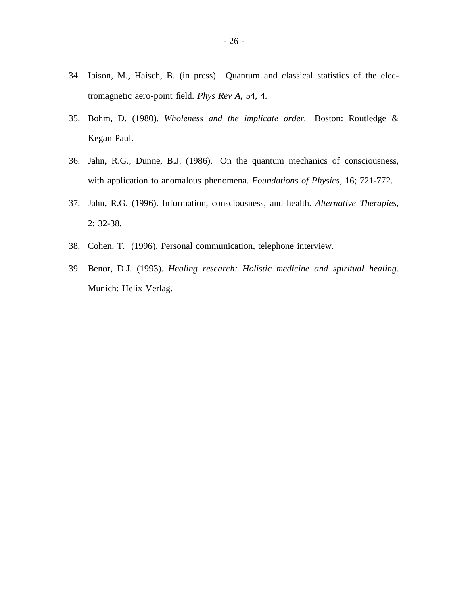- 34. Ibison, M., Haisch, B. (in press). Quantum and classical statistics of the electromagnetic aero-point field. *Phys Rev A,* 54, 4.
- 35. Bohm, D. (1980). *Wholeness and the implicate order.* Boston: Routledge & Kegan Paul.
- 36. Jahn, R.G., Dunne, B.J. (1986). On the quantum mechanics of consciousness, with application to anomalous phenomena. *Foundations of Physics,* 16; 721-772.
- 37. Jahn, R.G. (1996). Information, consciousness, and health. *Alternative Therapies,* 2: 32-38.
- 38. Cohen, T. (1996). Personal communication, telephone interview.
- 39. Benor, D.J. (1993). *Healing research: Holistic medicine and spiritual healing.* Munich: Helix Verlag.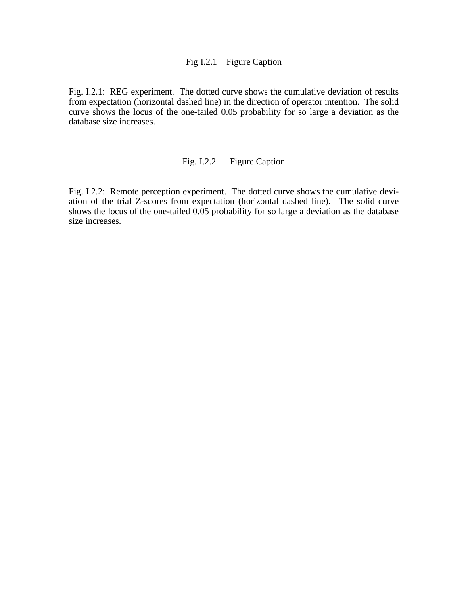## Fig I.2.1 Figure Caption

Fig. I.2.1: REG experiment. The dotted curve shows the cumulative deviation of results from expectation (horizontal dashed line) in the direction of operator intention. The solid curve shows the locus of the one-tailed 0.05 probability for so large a deviation as the database size increases.

## Fig. I.2.2 Figure Caption

Fig. I.2.2: Remote perception experiment. The dotted curve shows the cumulative deviation of the trial Z-scores from expectation (horizontal dashed line). The solid curve shows the locus of the one-tailed 0.05 probability for so large a deviation as the database size increases.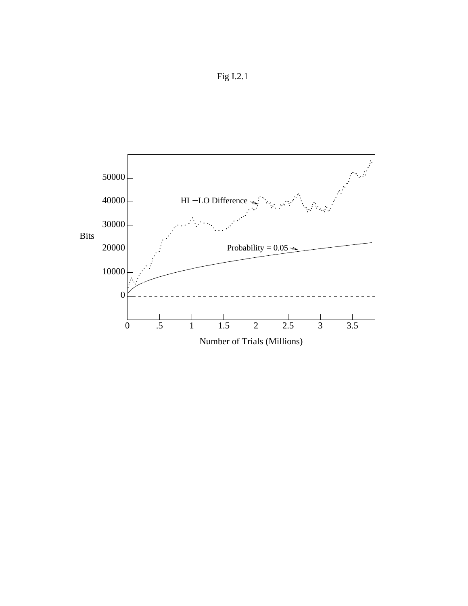

Fig I.2.1